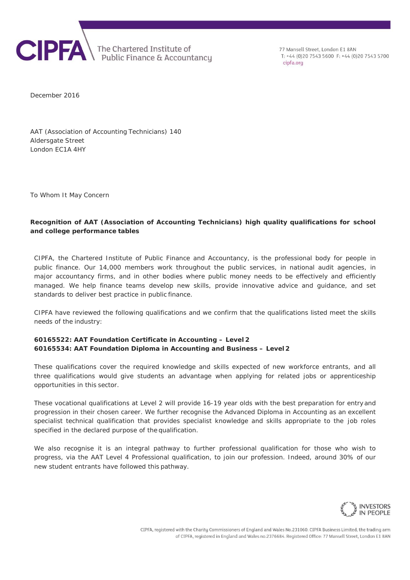

77 Mansell Street, London F1 8AN T: +44 (0)20 7543 5600 F: +44 (0)20 7543 5700 cipfa org

December 2016

AAT (Association of Accounting Technicians) 140 Aldersgate Street London EC1A 4HY

To Whom It May Concern

## **Recognition of AAT (Association of Accounting Technicians) high quality qualifications for school and college performance tables**

CIPFA, the Chartered Institute of Public Finance and Accountancy, is the professional body for people in public finance. Our 14,000 members work throughout the public services, in national audit agencies, in major accountancy firms, and in other bodies where public money needs to be effectively and efficiently managed. We help finance teams develop new skills, provide innovative advice and guidance, and set standards to deliver best practice in public finance.

CIPFA have reviewed the following qualifications and we confirm that the qualifications listed meet the skills needs of the industry:

## **60165522: AAT Foundation Certificate in Accounting – Level 2 60165534: AAT Foundation Diploma in Accounting and Business – Level 2**

These qualifications cover the required knowledge and skills expected of new workforce entrants, and all three qualifications would give students an advantage when applying for related jobs or apprenticeship opportunities in this sector.

These vocational qualifications at Level 2 will provide 16-19 year olds with the best preparation for entry and progression in their chosen career. We further recognise the Advanced Diploma in Accounting as an excellent specialist technical qualification that provides specialist knowledge and skills appropriate to the job roles specified in the declared purpose of the qualification.

We also recognise it is an integral pathway to further professional qualification for those who wish to progress, via the AAT Level 4 Professional qualification, to join our profession. Indeed, around 30% of our new student entrants have followed this pathway.